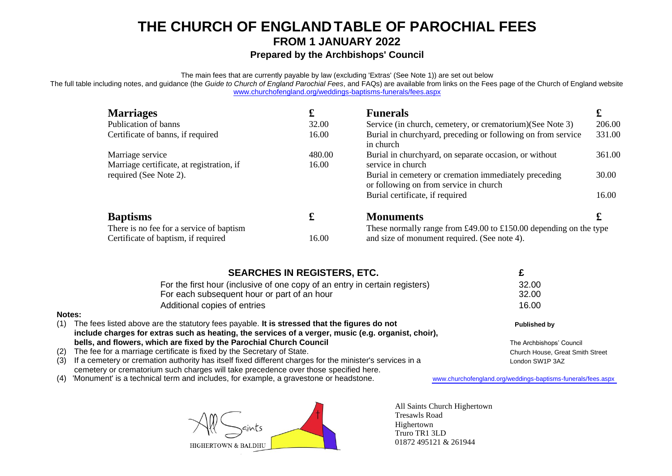#### **THE CHURCH OF ENGLANDTABLE OF PAROCHIAL FEES FROM 1 JANUARY 2022**

#### **Prepared by the Archbishops' Council**

The main fees that are currently payable by law (excluding 'Extras' (See Note 1)) are set out below

The full table including notes, and guidance (the *Guide to Church of England Parochial Fees*, and FAQs) are available from links on the Fees page of the Church of England website [www.churchofengland.org/weddings-baptisms-funerals/fees.aspx](http://www.churchofengland.org/weddings-baptisms-funerals/fees.aspx)

| <b>Marriages</b>                          | £      | <b>Funerals</b>                                                                                 | £      |  |
|-------------------------------------------|--------|-------------------------------------------------------------------------------------------------|--------|--|
| Publication of banns                      | 32.00  | Service (in church, cemetery, or crematorium) (See Note 3)                                      | 206.00 |  |
| Certificate of banns, if required         | 16.00  | Burial in churchyard, preceding or following on from service<br>in church                       | 331.00 |  |
| Marriage service                          | 480.00 | Burial in churchyard, on separate occasion, or without                                          | 361.00 |  |
| Marriage certificate, at registration, if | 16.00  | service in church                                                                               |        |  |
| required (See Note 2).                    |        | Burial in cemetery or cremation immediately preceding<br>or following on from service in church | 30.00  |  |
|                                           |        | Burial certificate, if required                                                                 | 16.00  |  |
| <b>Baptisms</b>                           | £      | <b>Monuments</b>                                                                                |        |  |
| There is no fee for a service of baptism  |        | These normally range from $£49.00$ to $£150.00$ depending on the type                           |        |  |
| Certificate of baptism, if required       | 16.00  | and size of monument required. (See note 4).                                                    |        |  |

|     | <b>SEARCHES IN REGISTERS, ETC.</b>                                                                       |                                  |
|-----|----------------------------------------------------------------------------------------------------------|----------------------------------|
|     | For the first hour (inclusive of one copy of an entry in certain registers)                              | 32.00                            |
|     | For each subsequent hour or part of an hour                                                              | 32.00                            |
|     | Additional copies of entries                                                                             | 16.00                            |
|     | Notes:                                                                                                   |                                  |
| (1) | The fees listed above are the statutory fees payable. It is stressed that the figures do not             | Published by                     |
|     | include charges for extras such as heating, the services of a verger, music (e.g. organist, choir),      |                                  |
|     | bells, and flowers, which are fixed by the Parochial Church Council                                      | The Archbishops' Council         |
| (2) | The fee for a marriage certificate is fixed by the Secretary of State.                                   | Church House, Great Smith Street |
| (3) | If a cemetery or cremation authority has itself fixed different charges for the minister's services in a | London SW1P 3AZ                  |
|     | cemetery or crematorium such charges will take precedence over those specified here.                     |                                  |

(4) 'Monument' is a technical term and includes, for example, a gravestone or headstone. [www.churchofengland.org/weddings-baptisms-funerals/fees.aspx](http://www.churchofengland.org/weddings-baptisms-funerals/fees.aspx)



All Saints Church Highertown Tresawls Road Highertown Truro TR1 3LD 01872 495121 & 261944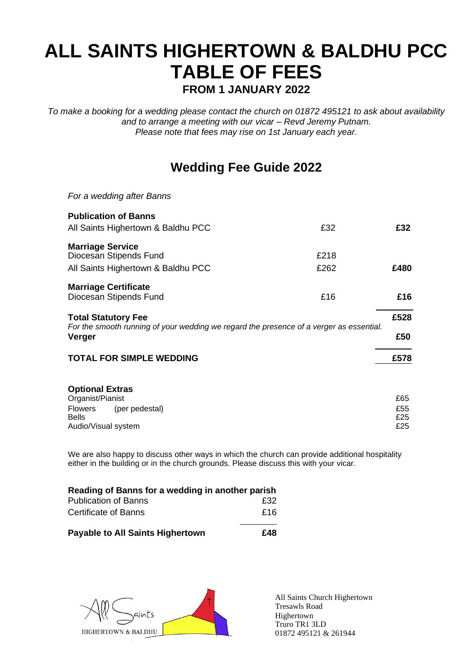# **ALL SAINTS HIGHERTOWN & BALDHU PCC TABLE OF FEES FROM 1 JANUARY 2022**

*To make a booking for a wedding please contact the church on 01872 495121 to ask about availability and to arrange a meeting with our vicar – Revd Jeremy Putnam. Please note that fees may rise on 1st January each year.*

## **Wedding Fee Guide 2022**

| For a wedding after Banns                                                                                                       |              |                          |
|---------------------------------------------------------------------------------------------------------------------------------|--------------|--------------------------|
| <b>Publication of Banns</b><br>All Saints Highertown & Baldhu PCC                                                               | £32          | £32                      |
| <b>Marriage Service</b><br>Diocesan Stipends Fund<br>All Saints Highertown & Baldhu PCC                                         | £218<br>£262 | £480                     |
| <b>Marriage Certificate</b><br>Diocesan Stipends Fund                                                                           | £16          | £16                      |
| <b>Total Statutory Fee</b><br>For the smooth running of your wedding we regard the presence of a verger as essential.<br>Verger |              | £528<br>£50              |
| <b>TOTAL FOR SIMPLE WEDDING</b>                                                                                                 |              | £578                     |
| <b>Optional Extras</b><br>Organist/Pianist<br>Flowers<br>(per pedestal)<br><b>Bells</b><br>Audio/Visual system                  |              | £65<br>£55<br>£25<br>£25 |

We are also happy to discuss other ways in which the church can provide additional hospitality either in the building or in the church grounds. Please discuss this with your vicar.

| Reading of Banns for a wedding in another parish |     |  |  |  |
|--------------------------------------------------|-----|--|--|--|
| <b>Publication of Banns</b>                      | £32 |  |  |  |
| <b>Certificate of Banns</b>                      | £16 |  |  |  |
| <b>Payable to All Saints Highertown</b>          | £48 |  |  |  |



All Saints Church Highertown Tresawls Road Highertown Truro TR1 3LD 01872 495121 & 261944